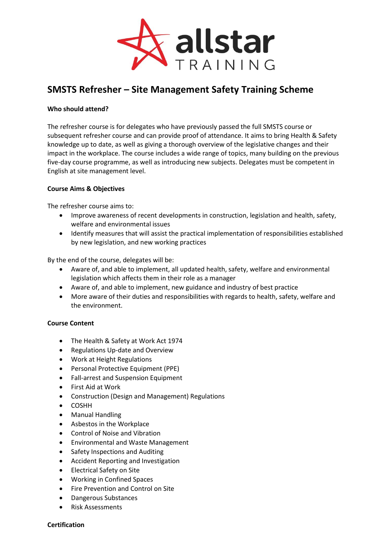

# **SMSTS Refresher – Site Management Safety Training Scheme**

## **Who should attend?**

The refresher course is for delegates who have previously passed the full SMSTS course or subsequent refresher course and can provide proof of attendance. It aims to bring Health & Safety knowledge up to date, as well as giving a thorough overview of the legislative changes and their impact in the workplace. The course includes a wide range of topics, many building on the previous five-day course programme, as well as introducing new subjects. Delegates must be competent in English at site management level.

### **Course Aims & Objectives**

The refresher course aims to:

- Improve awareness of recent developments in construction, legislation and health, safety, welfare and environmental issues
- Identify measures that will assist the practical implementation of responsibilities established by new legislation, and new working practices

By the end of the course, delegates will be:

- Aware of, and able to implement, all updated health, safety, welfare and environmental legislation which affects them in their role as a manager
- Aware of, and able to implement, new guidance and industry of best practice
- More aware of their duties and responsibilities with regards to health, safety, welfare and the environment.

# **Course Content**

- The Health & Safety at Work Act 1974
- Regulations Up-date and Overview
- Work at Height Regulations
- Personal Protective Equipment (PPE)
- Fall-arrest and Suspension Equipment
- First Aid at Work
- Construction (Design and Management) Regulations
- COSHH
- Manual Handling
- Asbestos in the Workplace
- Control of Noise and Vibration
- Environmental and Waste Management
- Safety Inspections and Auditing
- Accident Reporting and Investigation
- Electrical Safety on Site
- Working in Confined Spaces
- Fire Prevention and Control on Site
- Dangerous Substances
- Risk Assessments

#### **Certification**